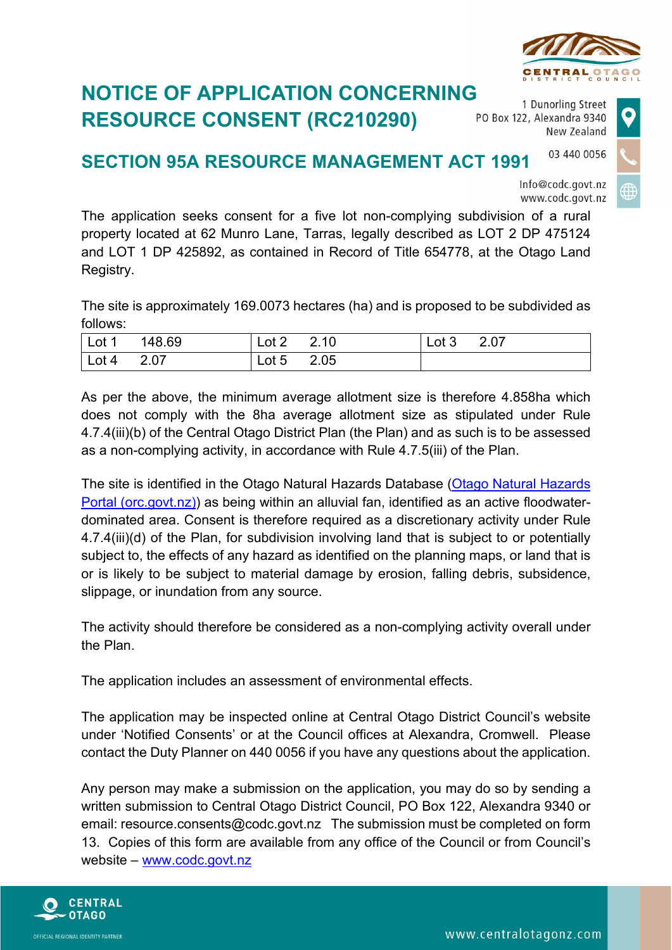

## **NOTICE OF APPLICATION CONCERNING RESOURCE CONSENT (RC210290)**

1 Dunorling Street PO Box 122, Alexandra 9340 New Zealand

## 03 440 0056 **SECTION 95A RESOURCE MANAGEMENT ACT 1991**



The application seeks consent for a five lot non-complying subdivision of a rural property located at 62 Munro Lane, Tarras, legally described as LOT 2 DP 475124 and LOT 1 DP 425892, as contained in Record of Title 654778, at the Otago Land Registry.

The site is approximately 169.0073 hectares (ha) and is proposed to be subdivided as follows:

| $\vert$ Lot 1      | 148.69 | ⊥ ot 2 ⊹ | 2.10 | Lot $3$ 2.07 |  |
|--------------------|--------|----------|------|--------------|--|
| $\vert$ Lot 4 2.07 |        | Lot 5    | 2.05 |              |  |

As per the above, the minimum average allotment size is therefore 4.858ha which does not comply with the 8ha average allotment size as stipulated under Rule 4.7.4(iii)(b) of the Central Otago District Plan (the Plan) and as such is to be assessed as a non-complying activity, in accordance with Rule 4.7.5(iii) of the Plan.

The site is identified in the Otago Natural Hazards Database [\(Otago Natural Hazards](https://maps.orc.govt.nz/portal/apps/MapSeries/index.html?appid=b24672e379394bb79a32c9977460d4c2)  [Portal \(orc.govt.nz\)\)](https://maps.orc.govt.nz/portal/apps/MapSeries/index.html?appid=b24672e379394bb79a32c9977460d4c2) as being within an alluvial fan, identified as an active floodwaterdominated area. Consent is therefore required as a discretionary activity under Rule 4.7.4(iii)(d) of the Plan, for subdivision involving land that is subject to or potentially subject to, the effects of any hazard as identified on the planning maps, or land that is or is likely to be subject to material damage by erosion, falling debris, subsidence, slippage, or inundation from any source.

The activity should therefore be considered as a non-complying activity overall under the Plan.

The application includes an assessment of environmental effects.

The application may be inspected online at Central Otago District Council's website under 'Notified Consents' or at the Council offices at Alexandra, Cromwell. Please contact the Duty Planner on 440 0056 if you have any questions about the application.

Any person may make a submission on the application, you may do so by sending a written submission to Central Otago District Council, PO Box 122, Alexandra 9340 or email: resource.consents@codc.govt.nz The submission must be completed on form 13. Copies of this form are available from any office of the Council or from Council's website – [www.codc.govt.nz](http://www.codc.govt.nz/)